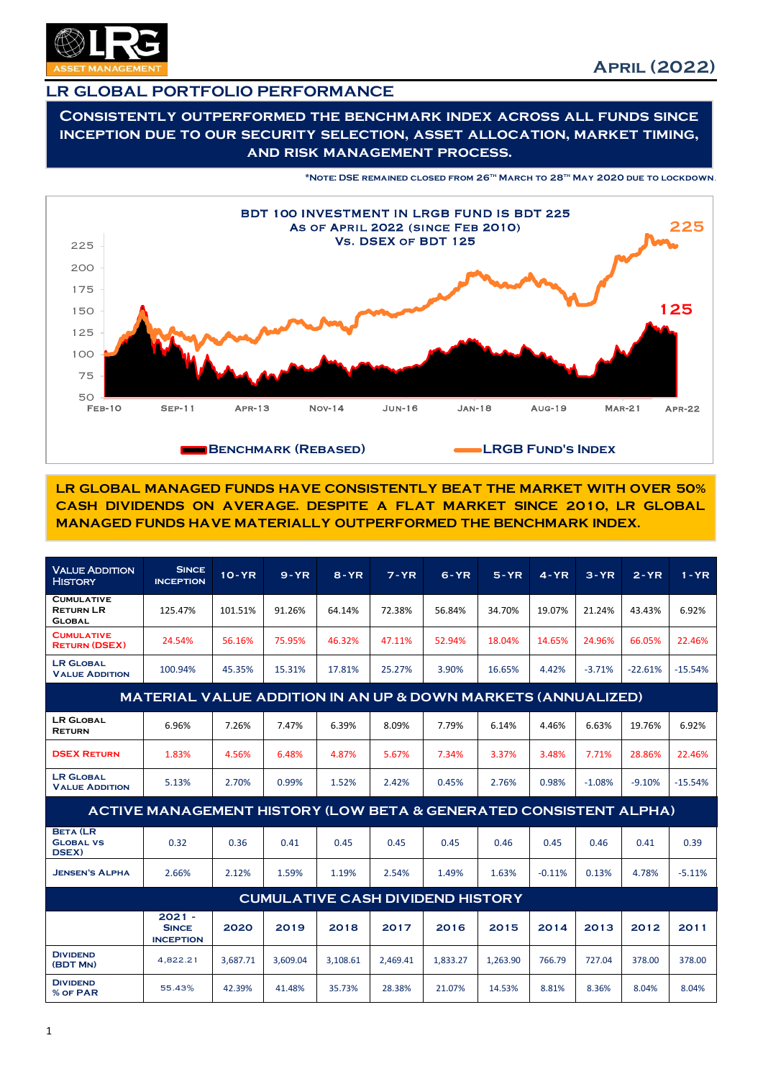

## LR GLOBAL PORTFOLIO PERFORMANCE

Consistently outperformed the benchmark index across all funds since inception due to our security selection, asset allocation, market timing, and risk management process.

\*Note: DSE remained closed from 26th March to 28th May 2020 due to lockdown.



LR GLOBAL MANAGED FUNDS HAVE CONSISTENTLY BEAT THE MARKET WITH OVER 50% CASH DIVIDENDS ON AVERAGE. DESPITE A FLAT MARKET SINCE 2010, LR GLOBAL MANAGED FUNDS HAVE MATERIALLY OUTPERFORMED THE BENCHMARK INDEX.

| <b>VALUE ADDITION</b><br><b>HISTORY</b>                                 | <b>SINCE</b><br><b>INCEPTION</b>             | $10 - YR$ | $9 - YR$ | $8 - YR$ | $7 - YR$ | $6 - YR$ | $5 - YR$ | $4 - YR$ | $3 - YR$ | $2 - YR$  | $1 - YR$  |
|-------------------------------------------------------------------------|----------------------------------------------|-----------|----------|----------|----------|----------|----------|----------|----------|-----------|-----------|
| <b>CUMULATIVE</b><br><b>RETURN LR</b><br><b>GLOBAL</b>                  | 125.47%                                      | 101.51%   | 91.26%   | 64.14%   | 72.38%   | 56.84%   | 34.70%   | 19.07%   | 21.24%   | 43.43%    | 6.92%     |
| <b>CUMULATIVE</b><br><b>RETURN (DSEX)</b>                               | 24.54%                                       | 56.16%    | 75.95%   | 46.32%   | 47.11%   | 52.94%   | 18.04%   | 14.65%   | 24.96%   | 66.05%    | 22.46%    |
| <b>LR GLOBAL</b><br><b>VALUE ADDITION</b>                               | 100.94%                                      | 45.35%    | 15.31%   | 17.81%   | 25.27%   | 3.90%    | 16.65%   | 4.42%    | $-3.71%$ | $-22.61%$ | $-15.54%$ |
| <b>MATERIAL VALUE ADDITION IN AN UP &amp; DOWN MARKETS (ANNUALIZED)</b> |                                              |           |          |          |          |          |          |          |          |           |           |
| <b>LR GLOBAL</b><br><b>RETURN</b>                                       | 6.96%                                        | 7.26%     | 7.47%    | 6.39%    | 8.09%    | 7.79%    | 6.14%    | 4.46%    | 6.63%    | 19.76%    | 6.92%     |
| <b>DSEX RETURN</b>                                                      | 1.83%                                        | 4.56%     | 6.48%    | 4.87%    | 5.67%    | 7.34%    | 3.37%    | 3.48%    | 7.71%    | 28.86%    | 22.46%    |
| <b>LR GLOBAL</b><br><b>VALUE ADDITION</b>                               | 5.13%                                        | 2.70%     | 0.99%    | 1.52%    | 2.42%    | 0.45%    | 2.76%    | 0.98%    | $-1.08%$ | $-9.10%$  | $-15.54%$ |
| ACTIVE MANAGEMENT HISTORY (LOW BETA & GENERATED CONSISTENT ALPHA)       |                                              |           |          |          |          |          |          |          |          |           |           |
| <b>BETA (LR</b><br><b>GLOBAL VS</b><br>DSEX)                            | 0.32                                         | 0.36      | 0.41     | 0.45     | 0.45     | 0.45     | 0.46     | 0.45     | 0.46     | 0.41      | 0.39      |
| <b>JENSEN'S ALPHA</b>                                                   | 2.66%                                        | 2.12%     | 1.59%    | 1.19%    | 2.54%    | 1.49%    | 1.63%    | $-0.11%$ | 0.13%    | 4.78%     | $-5.11%$  |
| <b>CUMULATIVE CASH DIVIDEND HISTORY</b>                                 |                                              |           |          |          |          |          |          |          |          |           |           |
|                                                                         | $2021 -$<br><b>SINCE</b><br><b>INCEPTION</b> | 2020      | 2019     | 2018     | 2017     | 2016     | 2015     | 2014     | 2013     | 2012      | 2011      |
| <b>DIVIDEND</b><br>(BDT MN)                                             | 4,822.21                                     | 3.687.71  | 3,609.04 | 3,108.61 | 2,469.41 | 1,833.27 | 1,263.90 | 766.79   | 727.04   | 378.00    | 378.00    |
| <b>DIVIDEND</b><br>% OF PAR                                             | 55.43%                                       | 42.39%    | 41.48%   | 35.73%   | 28.38%   | 21.07%   | 14.53%   | 8.81%    | 8.36%    | 8.04%     | 8.04%     |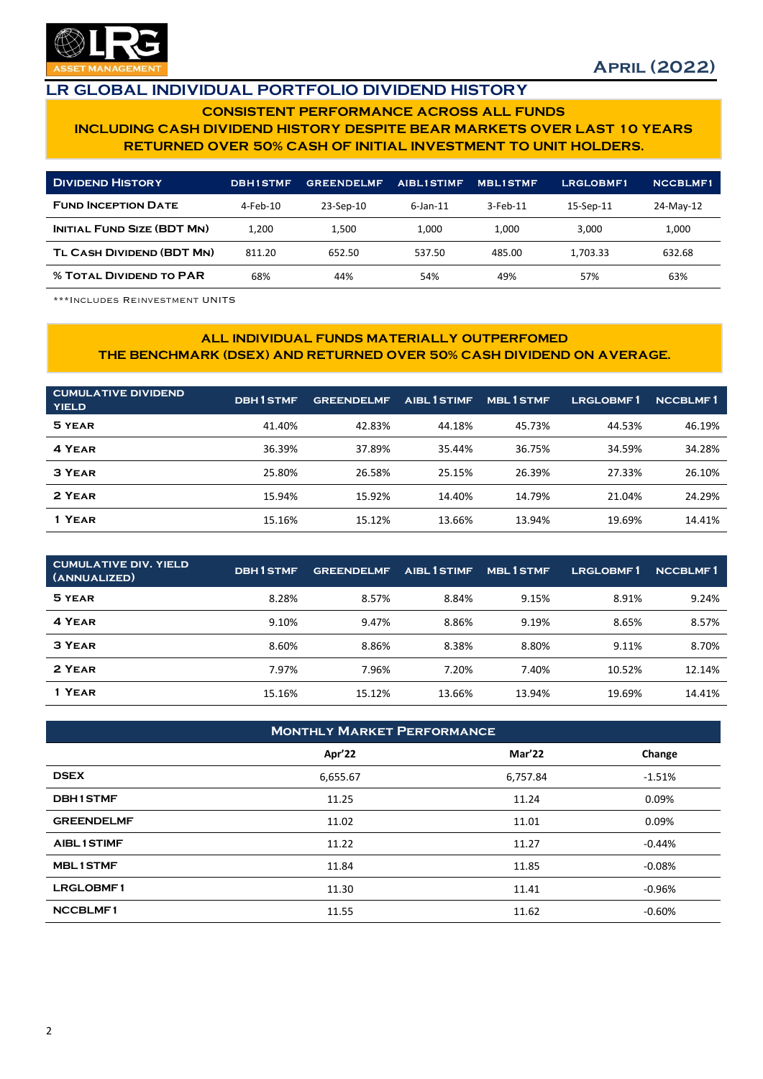

## LR GLOBAL INDIVIDUAL PORTFOLIO DIVIDEND HISTORY

### CONSISTENT PERFORMANCE ACROSS ALL FUNDS INCLUDING CASH DIVIDEND HISTORY DESPITE BEAR MARKETS OVER LAST 10 YEARS RETURNED OVER 50% CASH OF INITIAL INVESTMENT TO UNIT HOLDERS.

| <b>DIVIDEND HISTORY</b>           | <b>DBHISTMF</b> | <b>GREENDELMF</b> | <b>AIBL1STIMF</b> | <b>MBLISTMF</b> | LRGLOBMF1 | <b>NCCBLMF1</b> |
|-----------------------------------|-----------------|-------------------|-------------------|-----------------|-----------|-----------------|
| <b>FUND INCEPTION DATE</b>        | 4-Feb-10        | 23-Sep-10         | $6$ -Jan-11       | $3$ -Feb-11     | 15-Sep-11 | 24-May-12       |
| <b>INITIAL FUND SIZE (BDT MN)</b> | 1.200           | 1.500             | 1.000             | 1.000           | 3.000     | 1.000           |
| TL CASH DIVIDEND (BDT MN)         | 811.20          | 652.50            | 537.50            | 485.00          | 1.703.33  | 632.68          |
| <b>% TOTAL DIVIDEND TO PAR</b>    | 68%             | 44%               | 54%               | 49%             | 57%       | 63%             |

\*\*\*Includes Reinvestment UNITS

#### ALL INDIVIDUAL FUNDS MATERIALLY OUTPERFOMED THE BENCHMARK (DSEX) AND RETURNED OVER 50% CASH DIVIDEND ON AVERAGE.

| <b>CUMULATIVE DIVIDEND</b><br><b>YIELD</b> | <b>DBH1STMF</b> | <b>GREENDELMF</b> | AIBL 1 STIMF | <b>MBL1STMF</b> | LRGLOBMF1 | <b>NCCBLMF1</b> |
|--------------------------------------------|-----------------|-------------------|--------------|-----------------|-----------|-----------------|
| 5 YEAR                                     | 41.40%          | 42.83%            | 44.18%       | 45.73%          | 44.53%    | 46.19%          |
| 4 YEAR                                     | 36.39%          | 37.89%            | 35.44%       | 36.75%          | 34.59%    | 34.28%          |
| 3 YEAR                                     | 25.80%          | 26.58%            | 25.15%       | 26.39%          | 27.33%    | 26.10%          |
| 2 YEAR                                     | 15.94%          | 15.92%            | 14.40%       | 14.79%          | 21.04%    | 24.29%          |
| 1 YEAR                                     | 15.16%          | 15.12%            | 13.66%       | 13.94%          | 19.69%    | 14.41%          |

| <b>CUMULATIVE DIV. YIELD</b><br>(ANNUALIZED) | <b>DBH1STMF</b> | <b>GREENDELMF</b> | AIBL 1 STIMF | <b>MBL1STMF</b> | LRGLOBMF1 | <b>NCCBLMF1</b> |
|----------------------------------------------|-----------------|-------------------|--------------|-----------------|-----------|-----------------|
| 5 YEAR                                       | 8.28%           | 8.57%             | 8.84%        | 9.15%           | 8.91%     | 9.24%           |
| 4 YEAR                                       | 9.10%           | 9.47%             | 8.86%        | 9.19%           | 8.65%     | 8.57%           |
| 3 YEAR                                       | 8.60%           | 8.86%             | 8.38%        | 8.80%           | 9.11%     | 8.70%           |
| 2 YEAR                                       | 7.97%           | 7.96%             | 7.20%        | 7.40%           | 10.52%    | 12.14%          |
| 1 YEAR                                       | 15.16%          | 15.12%            | 13.66%       | 13.94%          | 19.69%    | 14.41%          |

| <b>MONTHLY MARKET PERFORMANCE</b> |          |               |          |  |  |  |
|-----------------------------------|----------|---------------|----------|--|--|--|
|                                   | Apr'22   | <b>Mar'22</b> | Change   |  |  |  |
| <b>DSEX</b>                       | 6,655.67 | 6,757.84      | $-1.51%$ |  |  |  |
| <b>DBH1STMF</b>                   | 11.25    | 11.24         | 0.09%    |  |  |  |
| <b>GREENDELMF</b>                 | 11.02    | 11.01         | 0.09%    |  |  |  |
| <b>AIBL1STIMF</b>                 | 11.22    | 11.27         | $-0.44%$ |  |  |  |
| <b>MBL1STMF</b>                   | 11.84    | 11.85         | $-0.08%$ |  |  |  |
| <b>LRGLOBMF1</b>                  | 11.30    | 11.41         | $-0.96%$ |  |  |  |
| <b>NCCBLMF1</b>                   | 11.55    | 11.62         | $-0.60%$ |  |  |  |